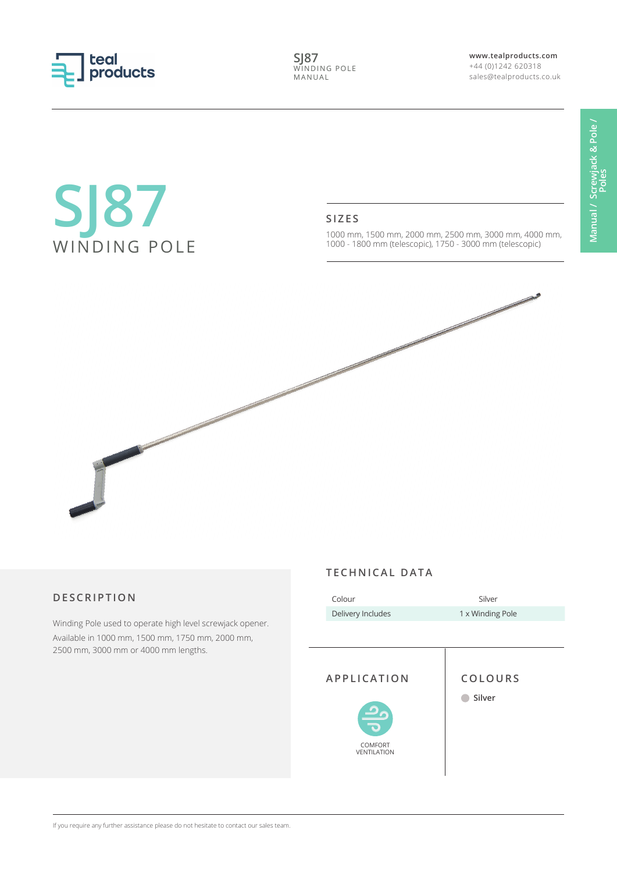

**SJ87** WINDING POLE MANUAL

**www.tealproducts.com** +44 (0)1242 620318 sales@tealproducts.co.uk

# **SJ87** WINDING POLE

#### **SIZES**

1000 mm, 1500 mm, 2000 mm, 2500 mm, 3000 mm, 4000 mm, 1000 - 1800 mm (telescopic), 1750 - 3000 mm (telescopic)



## **DESCRIPTION**

Winding Pole used to operate high level screwjack opener. Available in 1000 mm, 1500 mm, 1750 mm, 2000 mm, 2500 mm, 3000 mm or 4000 mm lengths.

#### **TECHNICAL DATA**